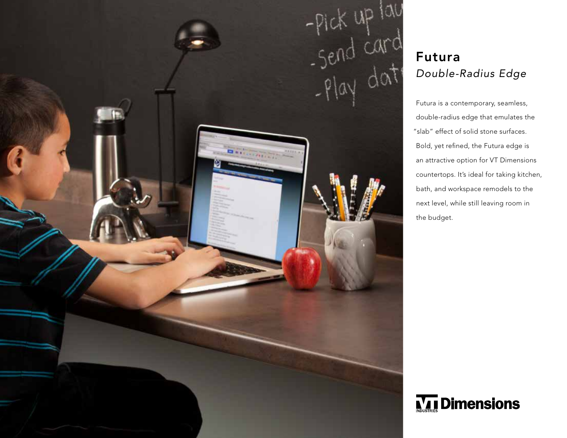

## *Double-Radius Edge*

Futura is a contemporary, seamless, double-radius edge that emulates the "slab" effect of solid stone surfaces. Bold, yet refined, the Futura edge is an attractive option for VT Dimensions countertops. It's ideal for taking kitchen, bath, and workspace remodels to the next level, while still leaving room in the budget.